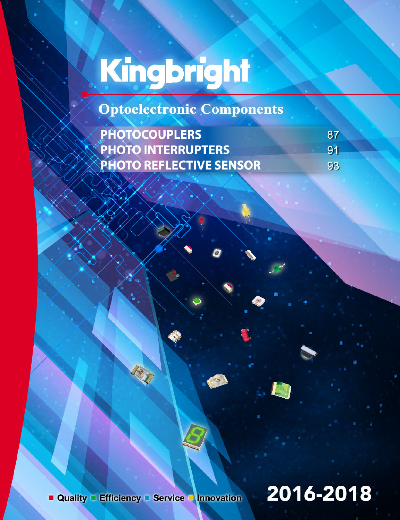**Optoelectronic Components** 

| <b>PHOTOCOUPLERS</b>             | 87 |
|----------------------------------|----|
| <b>EXPHOTO INTERRUPTERS</b>      | 91 |
| <b>EXPHOTO REFLECTIVE SENSOR</b> | 93 |

# 2016-2018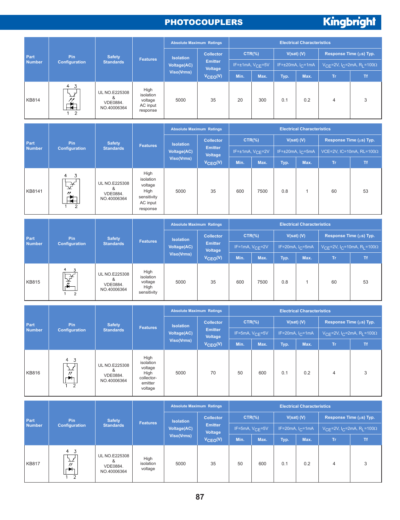#### **PHOTOCOUPLERS**

# Kingbright

|                       |                                                                        |                                                      |                                                                             | <b>Absolute Maximum Ratings</b>        |                                  |                              |      |                   | <b>Electrical Characteristics</b>    |                                                                         |                                                                    |
|-----------------------|------------------------------------------------------------------------|------------------------------------------------------|-----------------------------------------------------------------------------|----------------------------------------|----------------------------------|------------------------------|------|-------------------|--------------------------------------|-------------------------------------------------------------------------|--------------------------------------------------------------------|
| Part                  | <b>Pin</b>                                                             | <b>Safety</b>                                        |                                                                             | <b>Isolation</b>                       | <b>Collector</b>                 | $CTR$ %)                     |      |                   | $V(sat)$ (V)                         |                                                                         | Response Time (µs) Typ.                                            |
| <b>Number</b>         | <b>Configuration</b>                                                   | <b>Standards</b>                                     | <b>Features</b>                                                             | <b>Voltage(AC)</b>                     | <b>Emitter</b><br><b>Voltage</b> | IF=±1mA, V <sub>CE</sub> =5V |      |                   | IF= $\pm 20$ mA, I <sub>C</sub> =1mA |                                                                         | $VCE=2V, IC=2mA, RL=100\Omega$                                     |
|                       |                                                                        |                                                      |                                                                             | <b>Viso(Vrms)</b>                      | $V_{CEO}(V)$                     | Min.                         | Max. | Typ.              | Max.                                 | Tr.                                                                     | <b>Tf</b>                                                          |
| <b>KB814</b>          | 4 3<br>$\bf{r}$<br>$\overline{2}$<br>1.                                | <b>UL NO.E225308</b><br>&<br>VDE0884.<br>NO.40006364 | High<br>isolation<br>voltage<br>AC input<br>response                        | 5000                                   | 35                               | 20                           | 300  | 0.1               | 0.2                                  | $\overline{4}$                                                          | 3                                                                  |
|                       |                                                                        |                                                      |                                                                             | <b>Absolute Maximum Ratings</b>        |                                  |                              |      |                   | <b>Electrical Characteristics</b>    |                                                                         |                                                                    |
|                       |                                                                        |                                                      |                                                                             |                                        | <b>Collector</b>                 | $CTR$ %)                     |      | $V(sat)$ $(V)$    |                                      |                                                                         | Response Time (µs) Typ.                                            |
| Part<br><b>Number</b> | Pin<br>Configuration                                                   | <b>Safety</b><br><b>Standards</b>                    | <b>Features</b>                                                             | <b>Isolation</b><br><b>Voltage(AC)</b> | <b>Emitter</b>                   | IF= $±1mA, VCE=2V$           |      |                   | IF= $\pm 20$ mA, I <sub>C</sub> =5mA |                                                                         | VCE=2V, IC=10mA, RL=100Ω                                           |
|                       |                                                                        |                                                      |                                                                             | <b>Viso(Vrms)</b>                      | <b>Voltage</b><br>$V_{CEO}(V)$   | Min.                         | Max. | Typ.              | Max.                                 | Tr.                                                                     | <b>Tf</b>                                                          |
| KB8141                | 4<br>3<br>¥                                                            | <b>UL NO.E225308</b><br>&<br>VDE0884.<br>NO.40006364 | High<br>isolation<br>voltage<br>High<br>sensitivity<br>AC input<br>response | 5000                                   | 35                               | 600                          | 7500 | 0.8               | $\mathbf{1}$                         | 60                                                                      | 53                                                                 |
|                       |                                                                        |                                                      |                                                                             | <b>Absolute Maximum Ratings</b>        |                                  |                              |      |                   | <b>Electrical Characteristics</b>    |                                                                         |                                                                    |
| Part                  | Pin                                                                    | <b>Safety</b>                                        |                                                                             |                                        | <b>Collector</b>                 | $CTR$ %)                     |      |                   | $V(sat)$ (V)                         | Response Time (µs) Typ.                                                 |                                                                    |
| <b>Number</b>         | <b>Configuration</b>                                                   | <b>Standards</b>                                     | <b>Features</b>                                                             | <b>Isolation</b><br><b>Voltage(AC)</b> | <b>Emitter</b>                   | IF=1mA, $V_{CE}$ =2V         |      | IF=20mA, $IC=5mA$ |                                      | V <sub>CE</sub> =2V, I <sub>C</sub> =10mA, R <sub>L</sub> =100 $\Omega$ |                                                                    |
|                       |                                                                        |                                                      |                                                                             | <b>Viso(Vrms)</b>                      | <b>Voltage</b><br>$V_{CEO}(V)$   | Min.                         | Max. | Typ.              | Max.                                 | Tr.                                                                     | <b>Tf</b>                                                          |
| <b>KB815</b>          | रू<br>क<br>$\overline{2}$                                              | <b>UL NO.E225308</b><br>&<br>VDE0884.<br>NO.40006364 | High<br>isolation<br>voltage<br>High<br>sensitivity                         | 5000                                   | 35                               | 600                          | 7500 | 0.8               | $\mathbf{1}$                         | 60                                                                      | 53                                                                 |
|                       |                                                                        |                                                      |                                                                             | <b>Absolute Maximum Ratings</b>        |                                  |                              |      |                   | <b>Electrical Characteristics</b>    |                                                                         |                                                                    |
|                       |                                                                        |                                                      |                                                                             |                                        | <b>Collector</b>                 | $CTR$ %)                     |      |                   | $V(sat)$ $(V)$                       |                                                                         | Response Time (µs) Typ.                                            |
| Part<br><b>Number</b> | <b>Pin</b><br>Configuration                                            | <b>Safety</b><br><b>Standards</b>                    | <b>Features</b>                                                             | <b>Isolation</b><br><b>Voltage(AC)</b> | Emitter                          | IF=5mA, $V_{CE}$ =5V         |      |                   | IF=20mA, $I_C$ =1mA                  |                                                                         | $\overline{V_{CE}}$ =2V, I <sub>C</sub> =2mA, R <sub>L</sub> =100Ω |
|                       |                                                                        |                                                      |                                                                             | Viso(Vrms)                             | Voltage<br>$V_{\text{CEO}}(V)$   | Min.                         | Max. | Typ.              | Max.                                 | Tr.                                                                     | <b>Tf</b>                                                          |
| <b>KB816</b>          | 4 <sub>3</sub><br>$\frac{1}{\gamma}$<br>$\blacktriangleright$ $\vdash$ | UL NO.E225308<br>&<br>VDE0884.<br>NO.40006364        | High<br>isolation<br>voltage<br>High<br>collector-<br>emitter<br>voltage    | 5000                                   | 70                               | 50                           | 600  | 0.1               | $0.2\,$                              | 4                                                                       | $\sqrt{3}$                                                         |
|                       |                                                                        |                                                      |                                                                             | <b>Absolute Maximum Ratings</b>        |                                  |                              |      |                   | <b>Electrical Characteristics</b>    |                                                                         |                                                                    |
| Part                  | Pin                                                                    | <b>Safety</b>                                        |                                                                             | <b>Isolation</b>                       | <b>Collector</b>                 | $CTR(\%)$                    |      |                   | $V(sat)$ (V)                         |                                                                         | Response Time (µs) Typ.                                            |
| <b>Number</b>         | <b>Configuration</b>                                                   | <b>Standards</b>                                     | <b>Features</b>                                                             | <b>Voltage(AC)</b>                     | <b>Emitter</b><br>Voltage        | IF=5mA, V <sub>CE</sub> =5V  |      |                   | IF=20mA, $I_C$ =1mA                  |                                                                         | $V_{CE}$ =2V, I <sub>C</sub> =2mA, R <sub>L</sub> =100 $\Omega$    |
|                       |                                                                        |                                                      |                                                                             | Viso(Vrms)                             | $V_{CEO}(V)$                     | Min.                         | Max. | Typ.              | Max.                                 | Tr.                                                                     | Tf                                                                 |
| <b>KB817</b>          | 4 <sub>3</sub><br>$^{\prime\prime}$<br>$\bigstar$<br>2                 | <b>UL NO.E225308</b><br>&<br>VDE0884.<br>NO.40006364 | High<br>isolation<br>voltage                                                | 5000                                   | 35                               | 50                           | 600  | 0.1               | 0.2                                  | $\overline{4}$                                                          | 3                                                                  |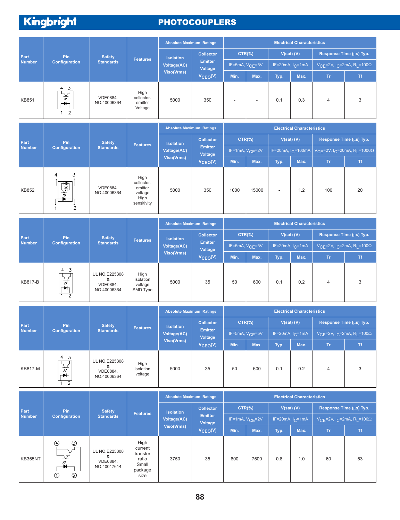#### **PHOTOCOUPLERS**

|               |                                                           |                                |                                          | <b>Absolute Maximum Ratings</b>  | <b>Electrical Characteristics</b> |            |                          |                |                              |                                                                        |           |
|---------------|-----------------------------------------------------------|--------------------------------|------------------------------------------|----------------------------------|-----------------------------------|------------|--------------------------|----------------|------------------------------|------------------------------------------------------------------------|-----------|
| Part          | Pin.                                                      | <b>Safety</b>                  | <b>Features</b>                          | <b>Isolation</b>                 | <b>Collector</b>                  | $CTR(\% )$ |                          | $V(sat)$ $(V)$ |                              | Response Time (µs) Typ.                                                |           |
| <b>Number</b> | <b>Configuration</b>                                      | <b>Standards</b>               |                                          | <b>Voltage(AC)</b><br>Viso(Vrms) | <b>Emitter</b><br>Voltage         |            | IF=5mA, $V_{CF}$ =5V     |                | IF=20mA, $I_{\text{C}}$ =1mA | $V_{\text{CF}}$ =2V, I <sub>C</sub> =2mA, R <sub>I</sub> =100 $\Omega$ |           |
|               |                                                           |                                |                                          |                                  | $V_{\text{CEO}}(V)$               | Min.       | Max.                     | Typ.           | Max.                         | <b>Tr</b>                                                              | <b>Tf</b> |
| <b>KB851</b>  | 4 3<br>∀∽<br>$^{\prime\prime}$<br>╺╾▛┽╕<br>$\overline{2}$ | <b>VDE0884.</b><br>NO.40006364 | High<br>collector-<br>emitter<br>Voltage | 5000                             | 350                               |            | $\overline{\phantom{a}}$ | 0.1            | 0.3                          | 4                                                                      | 3         |

| Part<br><b>Number</b> |                                                                                                          |                         |                                                                 | <b>Absolute Maximum Ratings</b> |                           |                      |           |                          | <b>Electrical Characteristics</b> |                                                                                              |           |
|-----------------------|----------------------------------------------------------------------------------------------------------|-------------------------|-----------------------------------------------------------------|---------------------------------|---------------------------|----------------------|-----------|--------------------------|-----------------------------------|----------------------------------------------------------------------------------------------|-----------|
|                       | Pin.                                                                                                     | <b>Safety</b>           |                                                                 | <b>Isolation</b>                | Collector                 |                      | $CTR(\%)$ |                          | $V(sat)$ $(V)$                    | Response Time (µs) Typ.                                                                      |           |
|                       | Configuration                                                                                            | <b>Standards</b>        | <b>Features</b>                                                 | <b>Voltage(AC)</b>              | <b>Emitter</b><br>Voltage | IF=1mA, $V_{CF}$ =2V |           |                          |                                   | IF=20mA, I <sub>C</sub> =100mA $\sqrt{C_F}$ =2V, I <sub>C</sub> =20mA, R <sub>I</sub> =1000Ω |           |
|                       |                                                                                                          |                         |                                                                 | Viso(Vrms)                      | $V_{\text{CEO}}(V)$       | Min.                 | Max.      | Typ.                     | Max.                              | Tr.                                                                                          | <b>Tf</b> |
| KB852                 | 4<br>J.<br>$\overline{\blacktriangleleft}$<br>ے ب<br>$\overline{\mathbf{v}}$<br>$\overline{\phantom{a}}$ | VDE0884.<br>NO.40006364 | High<br>collector-<br>emitter<br>voltage<br>High<br>sensitivity | 5000                            | 350                       | 1000                 | 15000     | $\overline{\phantom{a}}$ | 1.2                               | 100                                                                                          | 20        |

|               |                                                               |                                                             |                                          | <b>Absolute Maximum Ratings</b> |                           |                      |            |                   | <b>Electrical Characteristics</b> |                                                                        |           |
|---------------|---------------------------------------------------------------|-------------------------------------------------------------|------------------------------------------|---------------------------------|---------------------------|----------------------|------------|-------------------|-----------------------------------|------------------------------------------------------------------------|-----------|
| Part          | Pin.                                                          | <b>Safety</b>                                               | <b>Features</b>                          | <b>Isolation</b>                | <b>Collector</b>          |                      | $CTR(\% )$ | $V(sat)$ $(V)$    |                                   | Response Time (µs) Typ.                                                |           |
| <b>Number</b> | <b>Configuration</b>                                          | <b>Standards</b>                                            |                                          | <b>Voltage(AC)</b>              | <b>Emitter</b><br>Voltage | IF=5mA, $V_{CE}$ =5V |            | IF=20mA, $IC=1mA$ |                                   | $V_{\text{CF}}$ =2V, I <sub>C</sub> =2mA, R <sub>I</sub> =100 $\Omega$ |           |
|               |                                                               |                                                             |                                          | Viso(Vrms)                      | $V_{\text{CEO}}(V)$       | Min.                 | Max.       | Typ.              | Max.                              | <b>Tr</b>                                                              | <b>Tf</b> |
| KB817-B       | 4 <sub>3</sub><br>$\Delta$<br>$^{\prime\prime}$<br>┍┻╬<br>- 2 | <b>UL NO.E225308</b><br>&<br><b>VDE0884.</b><br>NO.40006364 | High<br>isolation<br>voltage<br>SMD Type | 5000                            | 35                        | 50                   | 600        | 0.1               | 0.2                               | $\overline{4}$                                                         | 3         |

|                |                                                                                     |                                                                      |                              | <b>Absolute Maximum Ratings</b> |                                  |           |                      |              | <b>Electrical Characteristics</b> |                                                                        |           |
|----------------|-------------------------------------------------------------------------------------|----------------------------------------------------------------------|------------------------------|---------------------------------|----------------------------------|-----------|----------------------|--------------|-----------------------------------|------------------------------------------------------------------------|-----------|
| Part           | <b>Pin</b>                                                                          | <b>Safety</b>                                                        |                              | <b>Isolation</b>                | <b>Collector</b>                 | $CTR(\%)$ |                      | $V(sat)$ (V) |                                   | Response Time (µs) Typ.                                                |           |
| <b>Number</b>  | <b>Configuration</b>                                                                | <b>Standards</b>                                                     | <b>Features</b>              | <b>Voltage(AC)</b>              | <b>Emitter</b><br><b>Voltage</b> |           | IF=5mA, $V_{CE}$ =5V |              | IF=20mA, $I_C$ =1mA               | V <sub>CE</sub> =2V, I <sub>C</sub> =2mA, R <sub>L</sub> =100 $\Omega$ |           |
|                |                                                                                     |                                                                      |                              | <b>Viso(Vrms)</b>               | $V_{\text{CEO}}(V)$              | Min.      | Max.                 | Typ.         | Max.                              | Tr.                                                                    | <b>Tf</b> |
| <b>KB817-M</b> | $\overline{4}$<br>$\overline{3}$<br>$^{\prime\prime}$<br>$\blacktriangleright$<br>2 | <b>UL NO.E225308</b><br>&<br>VDE0884.<br>NO.40006364                 | High<br>isolation<br>voltage | 5000                            | 35                               | 50        | 600                  | 0.1          | 0.2                               | $\overline{4}$                                                         | 3         |
|                |                                                                                     | <b>Electrical Characteristics</b><br><b>Absolute Maximum Ratings</b> |                              |                                 |                                  |           |                      |              |                                   |                                                                        |           |
|                |                                                                                     |                                                                      |                              |                                 |                                  |           |                      |              |                                   |                                                                        |           |
|                |                                                                                     |                                                                      |                              |                                 |                                  |           |                      |              |                                   |                                                                        |           |
| Part           | Pin                                                                                 | <b>Safety</b>                                                        | <b>Features</b>              | <b>Isolation</b>                | <b>Collector</b>                 | $CTR(\%)$ |                      | $V(sat)$ (V) |                                   | Response Time (µs) Typ.                                                |           |
| <b>Number</b>  | <b>Configuration</b>                                                                | <b>Standards</b>                                                     |                              | <b>Voltage(AC)</b>              | <b>Emitter</b><br>Voltage        |           | IF=1mA, $V_{CE}$ =2V |              | IF=20mA, $I_C$ =1mA               | V <sub>CE</sub> =2V, I <sub>C</sub> =2mA, R <sub>L</sub> =100 $\Omega$ |           |
|                |                                                                                     |                                                                      |                              | <b>Viso(Vrms)</b>               | $V_{\text{CEO}}(V)$              | Min.      | Max.                 | Typ.         | Max.                              | Tr.                                                                    | Tf.       |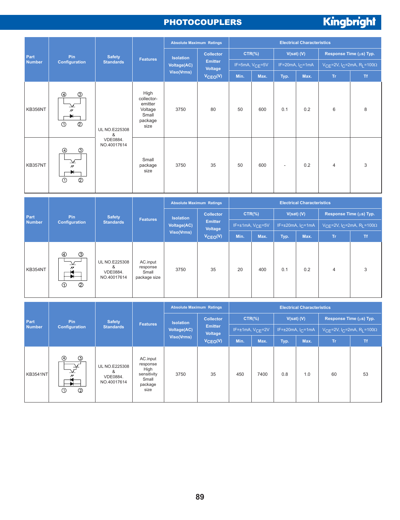#### **PHOTOCOUPLERS**

# Kingbright

| Part           |                                                                                           |                           |                                                                      |                    | <b>Absolute Maximum Ratings</b> |      |                             |                          | <b>Electrical Characteristics</b> |                |                                                                 |  |
|----------------|-------------------------------------------------------------------------------------------|---------------------------|----------------------------------------------------------------------|--------------------|---------------------------------|------|-----------------------------|--------------------------|-----------------------------------|----------------|-----------------------------------------------------------------|--|
|                | Pin                                                                                       | <b>Safety</b>             |                                                                      | <b>Isolation</b>   | <b>Collector</b>                |      | $CTR$ (%)                   |                          | $V(sat)$ $(V)$                    |                | Response Time (µs) Typ.                                         |  |
| <b>Number</b>  | <b>Configuration</b>                                                                      | <b>Standards</b>          | <b>Features</b>                                                      | <b>Voltage(AC)</b> | <b>Emitter</b><br>Voltage       |      | IF=5mA, V <sub>CE</sub> =5V |                          | IF=20mA, $I_C$ =1mA               |                | $V_{CE}$ =2V, I <sub>C</sub> =2mA, R <sub>L</sub> =100 $\Omega$ |  |
|                |                                                                                           |                           |                                                                      | Viso(Vrms)         | $V_{\text{CEO}}(V)$             | Min. | Max.                        | Typ.                     | Max.                              | Tr.            | Tf.                                                             |  |
| <b>KB356NT</b> | $\circledS$<br>$^{\circledR}$<br>$\overline{\nu}$<br>$^{\circledR}$<br>$\odot$            | <b>UL NO.E225308</b><br>& | High<br>collector-<br>emitter<br>Voltage<br>Small<br>package<br>size | 3750               | 80                              | 50   | 600                         | 0.1                      | 0.2                               | 6              | 8                                                               |  |
| KB357NT        | $\circledS$<br>⊕<br>⊻<br>$^{\prime\prime}$<br>$\blacksquare$<br>$^{\circledR}$<br>$\odot$ | VDE0884.<br>NO.40017614   | Small<br>package<br>size                                             | 3750               | 35                              | 50   | 600                         | $\overline{\phantom{a}}$ | 0.2                               | $\overline{4}$ | 3                                                               |  |

|               |                                                                      |                                                      |                                               | <b>Absolute Maximum Ratings</b> |                           |                              |           |                                      | <b>Electrical Characteristics</b> |                           |           |
|---------------|----------------------------------------------------------------------|------------------------------------------------------|-----------------------------------------------|---------------------------------|---------------------------|------------------------------|-----------|--------------------------------------|-----------------------------------|---------------------------|-----------|
| Part          | Pin.                                                                 | <b>Safety</b>                                        | <b>Features</b>                               | <b>Isolation</b>                | <b>Collector</b>          |                              | $CTR(\%)$ | $V(sat)$ $(V)$                       |                                   | Response Time (µs) Typ.   |           |
| <b>Number</b> | <b>Configuration</b>                                                 | <b>Standards</b>                                     |                                               | Voltage(AC)                     | <b>Emitter</b><br>Voltage | IF=±1mA, V <sub>CE</sub> =5V |           | IF= $\pm 20$ mA, I <sub>C</sub> =1mA |                                   | $VCF=2V, IC=2mA, RI=100Ω$ |           |
|               |                                                                      |                                                      |                                               | <b>Viso(Vrms)</b>               | $V_{\text{CEO}}(V)$       | Min.                         | Max.      | Typ.                                 | Max.                              | Tr.                       | <b>Tf</b> |
| KB354NT       | $^{\circ}$<br>จ<br>$^{\prime\prime}$<br>$^{\circledR}$<br>$^{\circ}$ | <b>UL NO.E225308</b><br>&<br>VDE0884.<br>NO.40017614 | AC.input<br>response<br>Small<br>package size | 3750                            | 35                        | 20                           | 400       | 0.1                                  | 0.2                               | $\overline{4}$            | 3         |

|                 |                                                     |                                                      |                                                                         | <b>Absolute Maximum Ratings</b> |                           |      |                      |              | <b>Electrical Characteristics</b>    |                           |           |
|-----------------|-----------------------------------------------------|------------------------------------------------------|-------------------------------------------------------------------------|---------------------------------|---------------------------|------|----------------------|--------------|--------------------------------------|---------------------------|-----------|
| Part            | Pin                                                 | <b>Safety</b>                                        | <b>Features</b>                                                         | <b>Isolation</b>                | <b>Collector</b>          |      | $CTR$ $%$            | $V(sat)$ (V) |                                      | Response Time (µs) Typ.   |           |
| <b>Number</b>   | Configuration                                       | <b>Standards</b>                                     |                                                                         | <b>Voltage(AC)</b>              | <b>Emitter</b><br>Voltage |      | $IF=\pm 1mA, VCF=2V$ |              | IF= $\pm 20$ mA, I <sub>C</sub> =1mA | $VCF=2V, IC=2mA, RI=100Ω$ |           |
|                 |                                                     |                                                      |                                                                         | Viso(Vrms)                      | $V_{\text{CEO}}(V)$       | Min. | Max.                 | Typ.         | Max.                                 | Tr.                       | <b>Tf</b> |
| <b>KB3541NT</b> | $^{\circledR}$<br>ك<br>$^{\circledR}$<br>$\bigcirc$ | <b>UL NO.E225308</b><br>&<br>VDE0884.<br>NO.40017614 | AC.input<br>response<br>High<br>sensitivity<br>Small<br>package<br>size | 3750                            | 35                        | 450  | 7400                 | 0.8          | 1.0                                  | 60                        | 53        |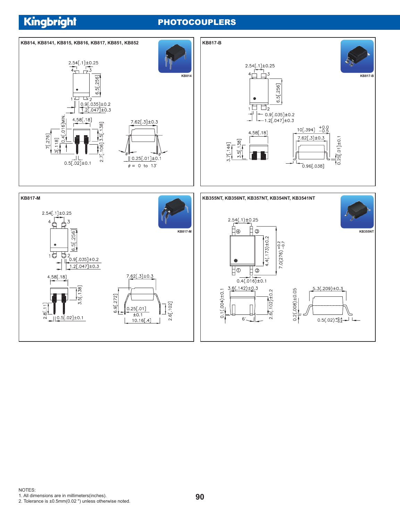#### **PHOTOCOUPLERS**



2. Tolerance is ±0.5mm(0.02 ") unless otherwise noted.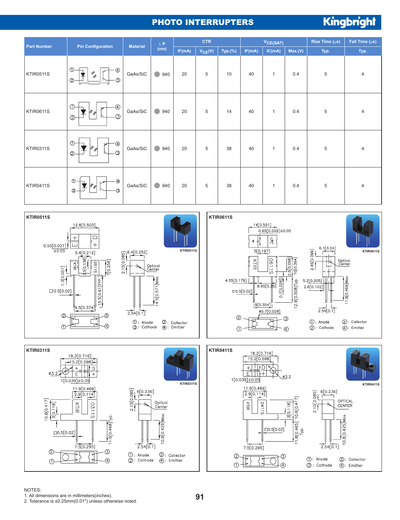#### PHOTO INTERRUPTERS

# Kingbright

| <b>Part Number</b> | <b>Pin Configuration</b>                                                                                       | <b>Material</b> | $\lambda$ P       |        | <b>CTR</b>  |         |        | VCE(SAT)     |         | Rise Time $(\mu s)$ | Fall Time $(\mu s)$ |
|--------------------|----------------------------------------------------------------------------------------------------------------|-----------------|-------------------|--------|-------------|---------|--------|--------------|---------|---------------------|---------------------|
|                    |                                                                                                                |                 | (nm)              | IF(mA) | $V_{CE}(V)$ | Typ.(%) | IF(mA) | IC(mA)       | Max.(V) | Typ.                | Typ.                |
| KTIR0511S          | $\circledcirc$<br>$^{\circledR}$<br>╈<br>$\frac{\partial^2}{\partial \phi^2}$<br>$\circledS$<br>$^{\circledR}$ | GaAs/SiC        | $\bullet$<br>940  | 20     | 5           | 10      | 40     | $\mathbf{1}$ | 0.4     | 5                   | 4                   |
| KTIR0611S          | $\oplus$<br>$\circled{1}$<br>$\mathscr{G}_{\mathscr{G}}$<br>$\circledcirc$                                     | GaAs/SiC        | $\bullet$<br>940  | 20     | 5           | 14      | 40     | $\mathbf{1}$ | 0.4     | 5                   | $\overline{4}$      |
| <b>KTIR0311S</b>   | $\circled{0}$<br>$\circledast$<br>11 k<br>- ල<br>$\circledcirc$                                                | GaAs/SiC        | $\bigcirc$<br>940 | 20     | 5           | 38      | 40     | $\mathbf{1}$ | 0.4     | 5                   | $\overline{4}$      |
| KTIR0411S          | $\circledcirc$<br>$\cdot$ $\circledast$<br>¥<br>$\mathcal{G}_{\mathcal{S}_i}$<br>$\circledcirc$<br>$\odot$     | GaAs/SiC        | C<br>940          | 20     | 5           | 38      | 40     | $\mathbf{1}$ | 0.4     | 5                   | 4                   |







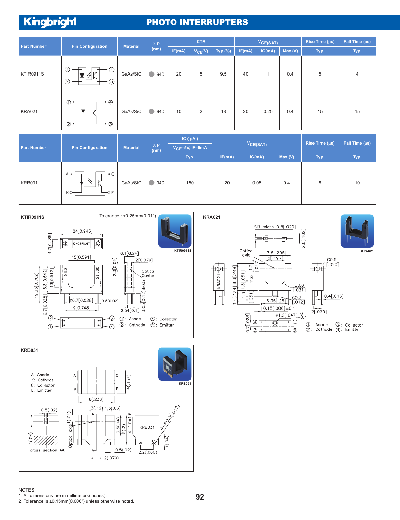#### PHOTO INTERRUPTERS

| <b>Part Number</b> | <b>Pin Configuration</b>                             | <b>Material</b> | $\lambda$ P |        | <b>CTR</b>  |         | $V_{CE(SAT)}$ |        |         | Rise Time $(\mu s)$ | Fall Time $(\mu s)$ |
|--------------------|------------------------------------------------------|-----------------|-------------|--------|-------------|---------|---------------|--------|---------|---------------------|---------------------|
|                    |                                                      |                 | (nm)        | IF(mA) | $V_{CE}(V)$ | Typ.(%) | IF(mA)        | IC(mA) | Max.(V) | Typ.                | Typ.                |
| KTIR0911S          | $\circledcirc$<br>④<br>$\circledS$<br>$\circledcirc$ | GaAs/SiC        | G<br>940    | 20     | 5           | 9.5     | 40            |        | 0.4     | 5                   | $\overline{4}$      |
| KRA021             | → ④<br>$\circ$<br>$\oslash$ $\sim$<br>-0 Q           | GaAs/SiC        | 940         | 10     | 2           | 18      | 20            | 0.25   | 0.4     | 15                  | 15                  |

|                    |                                                         |                 |                     | IC $(\mu A)$           |        |               |         | Rise Time (µs) | Fall Time $(\mu s)$ |
|--------------------|---------------------------------------------------------|-----------------|---------------------|------------------------|--------|---------------|---------|----------------|---------------------|
| <b>Part Number</b> | <b>Pin Configuration</b>                                | <b>Material</b> | $\lambda$ P<br>(nm) | $V_{CE} = 5V$ , IF=5mA |        | $V_{CE(SAT)}$ |         |                |                     |
|                    |                                                         |                 |                     | Typ.                   | IF(mA) | IC(mA)        | Max.(V) | Typ.           | Typ.                |
| KRB031             | -o C<br>$A \circ \rightarrow$<br>K <sub>o</sub><br>⊣⊸ Е | GaAs/SiC        | 940                 | 150                    | 20     | 0.05          | 0.4     | 8              | 10                  |